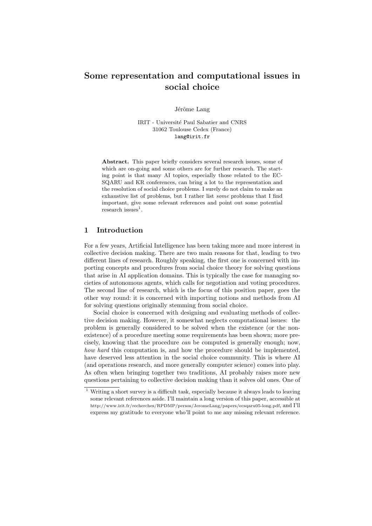# Some representation and computational issues in social choice

Jérôme Lang

IRIT - Université Paul Sabatier and CNRS 31062 Toulouse Cedex (France) lang@irit.fr

Abstract. This paper briefly considers several research issues, some of which are on-going and some others are for further research. The starting point is that many AI topics, especially those related to the EC-SQARU and KR conferences, can bring a lot to the representation and the resolution of social choice problems. I surely do not claim to make an exhaustive list of problems, but I rather list some problems that I find important, give some relevant references and point out some potential  $research$  issues<sup>1</sup>.

# 1 Introduction

For a few years, Artificial Intelligence has been taking more and more interest in collective decision making. There are two main reasons for that, leading to two different lines of research. Roughly speaking, the first one is concerned with importing concepts and procedures from social choice theory for solving questions that arise in AI application domains. This is typically the case for managing societies of autonomous agents, which calls for negotiation and voting procedures. The second line of research, which is the focus of this position paper, goes the other way round: it is concerned with importing notions and methods from AI for solving questions originally stemming from social choice.

Social choice is concerned with designing and evaluating methods of collective decision making. However, it somewhat neglects computational issues: the problem is generally considered to be solved when the existence (or the nonexistence) of a procedure meeting some requirements has been shown; more precisely, knowing that the procedure can be computed is generally enough; now, how hard this computation is, and how the procedure should be implemented, have deserved less attention in the social choice community. This is where AI (and operations research, and more generally computer science) comes into play. As often when bringing together two traditions, AI probably raises more new questions pertaining to collective decision making than it solves old ones. One of

 $1$  Writing a short survey is a difficult task, especially because it always leads to leaving some relevant references aside. I'll maintain a long version of this paper, accessible at http://www.irit.fr/recherches/RPDMP/persos/JeromeLang/papers/ecsqaru05-long.pdf, and I'll express my gratitude to everyone who'll point to me any missing relevant reference.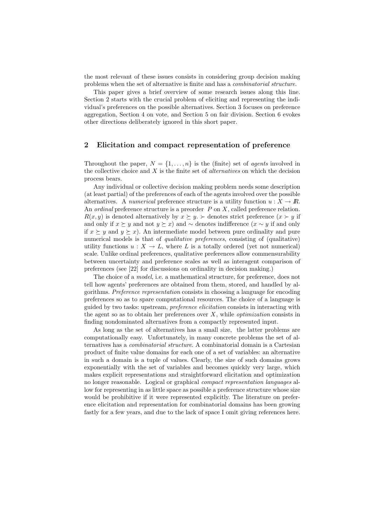the most relevant of these issues consists in considering group decision making problems when the set of alternative is finite and has a combinatorial structure.

This paper gives a brief overview of some research issues along this line. Section 2 starts with the crucial problem of eliciting and representing the individual's preferences on the possible alternatives. Section 3 focuses on preference aggregation, Section 4 on vote, and Section 5 on fair division. Section 6 evokes other directions deliberately ignored in this short paper.

#### 2 Elicitation and compact representation of preference

Throughout the paper,  $N = \{1, \ldots, n\}$  is the (finite) set of *agents* involved in the collective choice and  $X$  is the finite set of *alternatives* on which the decision process bears.

Any individual or collective decision making problem needs some description (at least partial) of the preferences of each of the agents involved over the possible alternatives. A numerical preference structure is a utility function  $u : X \to \mathbb{R}$ . An *ordinal* preference structure is a preorder  $P$  on  $X$ , called preference relation.  $R(x, y)$  is denoted alternatively by  $x \succeq y$ .  $\succeq$  denotes strict preference  $(x \succ y)$  if and only if  $x \succeq y$  and not  $y \succeq x$ ) and ∼ denotes indifference  $(x \sim y)$  if and only if  $x \succeq y$  and  $y \succeq x$ ). An intermediate model between pure ordinality and pure numerical models is that of *qualitative preferences*, consisting of (qualitative) utility functions  $u : X \to L$ , where L is a totally ordered (yet not numerical) scale. Unlike ordinal preferences, qualitative preferences allow commensurability between uncertainty and preference scales as well as interagent comparison of preferences (see [22] for discussions on ordinality in decision making.)

The choice of a model, i.e. a mathematical structure, for preference, does not tell how agents' preferences are obtained from them, stored, and handled by algorithms. Preference representation consists in choosing a language for encoding preferences so as to spare computational resources. The choice of a language is guided by two tasks: upstream, preference elicitation consists in interacting with the agent so as to obtain her preferences over  $X$ , while *optimization* consists in finding nondominated alternatives from a compactly represented input.

As long as the set of alternatives has a small size, the latter problems are computationally easy. Unfortunately, in many concrete problems the set of alternatives has a combinatorial structure. A combinatorial domain is a Cartesian product of finite value domains for each one of a set of variables: an alternative in such a domain is a tuple of values. Clearly, the size of such domains grows exponentially with the set of variables and becomes quickly very large, which makes explicit representations and straightforward elicitation and optimization no longer reasonable. Logical or graphical compact representation languages allow for representing in as little space as possible a preference structure whose size would be prohibitive if it were represented explicitly. The literature on preference elicitation and representation for combinatorial domains has been growing fastly for a few years, and due to the lack of space I omit giving references here.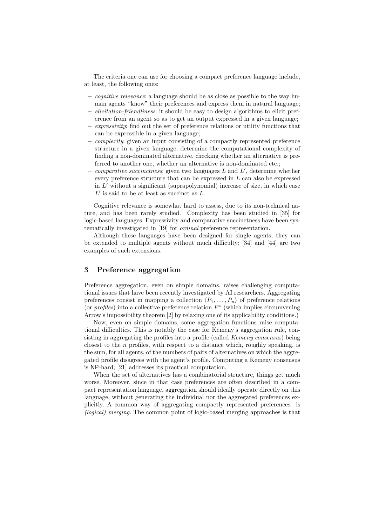The criteria one can use for choosing a compact preference language include, at least, the following ones:

- $\sim$  cognitive relevance: a language should be as close as possible to the way human agents "know" their preferences and express them in natural language;
- elicitation-friendliness: it should be easy to design algorithms to elicit preference from an agent so as to get an output expressed in a given language;
- expressivity: find out the set of preference relations or utility functions that can be expressible in a given language;
- complexity: given an input consisting of a compactly represented preference structure in a given language, determine the computational complexity of finding a non-dominated alternative, checking whether an alternative is preferred to another one, whether an alternative is non-dominated etc.;
- comparative succinctness: given two languages  $L$  and  $L'$ , determine whether every preference structure that can be expressed in  $L$  can also be expressed in  $L'$  without a significant (suprapolynomial) increase of size, in which case  $L'$  is said to be at least as succinct as  $L$ .

Cognitive relevance is somewhat hard to assess, due to its non-technical nature, and has been rarely studied. Complexity has been studied in [35] for logic-based languages. Expressivity and comparative succinctness have been systematically investigated in [19] for ordinal preference representation.

Although these languages have been designed for single agents, they can be extended to multiple agents without much difficulty; [34] and [44] are two examples of such extensions.

### 3 Preference aggregation

Preference aggregation, even on simple domains, raises challenging computational issues that have been recently investigated by AI researchers. Aggregating preferences consist in mapping a collection  $\langle P_1, \ldots, P_n \rangle$  of preference relations (or *profiles*) into a collective preference relation  $P^*$  (which implies circumvening Arrow's impossibility theorem [2] by relaxing one of its applicability conditions.)

Now, even on simple domains, some aggregation functions raise computational difficulties. This is notably the case for Kemeny's aggregation rule, consisting in aggregating the profiles into a profile (called Kemeny consensus) being closest to the  $n$  profiles, with respect to a distance which, roughly speaking, is the sum, for all agents, of the numbers of pairs of alternatives on which the aggregated profile disagrees with the agent's profile. Computing a Kemeny consensus is NP-hard; [21] addresses its practical computation.

When the set of alternatives has a combinatorial structure, things get much worse. Moreover, since in that case preferences are often described in a compact representation language, aggregation should ideally operate directly on this language, without generating the individual nor the aggregated preferences explicitly. A common way of aggregating compactly represented preferences is (logical) merging. The common point of logic-based merging approaches is that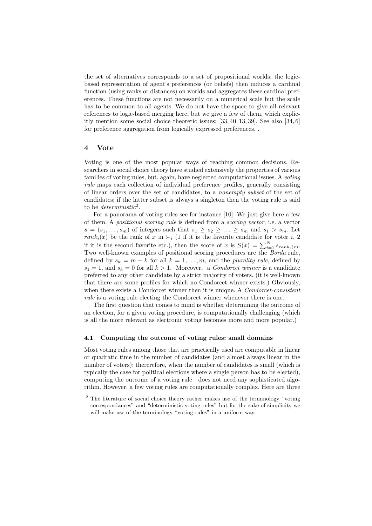the set of alternatives corresponds to a set of propositional worlds; the logicbased representation of agent's preferences (or beliefs) then induces a cardinal function (using ranks or distances) on worlds and aggregates these cardinal preferences. These functions are not necessarily on a numerical scale but the scale has to be common to all agents. We do not have the space to give all relevant references to logic-based merging here, but we give a few of them, which explicitly mention some social choice theoretic issues: [33, 40, 13, 39]. See also [34, 6] for preference aggregation from logically expressed preferences. .

## 4 Vote

Voting is one of the most popular ways of reaching common decisions. Researchers in social choice theory have studied extensively the properties of various families of voting rules, but, again, have neglected computational issues. A voting rule maps each collection of individual preference profiles, generally consisting of linear orders over the set of candidates, to a nonempty subset of the set of candidates; if the latter subset is always a singleton then the voting rule is said to be *deterministic*<sup>2</sup>.

For a panorama of voting rules see for instance [10]. We just give here a few of them. A positional scoring rule is defined from a scoring vector, i.e. a vector  $s = (s_1, \ldots, s_m)$  of integers such that  $s_1 \geq s_2 \geq \ldots \geq s_m$  and  $s_1 > s_m$ . Let rank<sub>i</sub>(x) be the rank of x in  $\succ_i$  (1 if it is the favorite candidate for voter i, 2 if it is the second favorite etc.), then the score of x is  $S(x) = \sum_{i=1}^{N} s_{rank_i(x)}$ . Two well-known examples of positional scoring procedures are the Borda rule, defined by  $s_k = m - k$  for all  $k = 1, ..., m$ , and the *plurality rule*, defined by  $s_1 = 1$ , and  $s_k = 0$  for all  $k > 1$ . Moreover, a *Condorcet winner* is a candidate preferred to any other candidate by a strict majority of voters. (it is well-known that there are some profiles for which no Condorcet winner exists.) Obviously, when there exists a Condorcet winner then it is unique. A Condorcet-consistent rule is a voting rule electing the Condorcet winner whenever there is one.

The first question that comes to mind is whether determining the outcome of an election, for a given voting procedure, is computationally challenging (which is all the more relevant as electronic voting becomes more and more popular.)

#### 4.1 Computing the outcome of voting rules: small domains

Most voting rules among those that are practically used are computable in linear or quadratic time in the number of candidates (and almost always linear in the number of voters); thererefore, when the number of candidates is small (which is typically the case for political elections where a single person has to be elected), computing the outcome of a voting rule does not need any sophisticated algorithm. However, a few voting rules are computationally complex. Here are three

<sup>2</sup> The literature of social choice theory rather makes use of the terminology "voting correspondances" and "deterministic voting rules" but for the sake of simplicity we will make use of the terminology "voting rules" in a uniform way.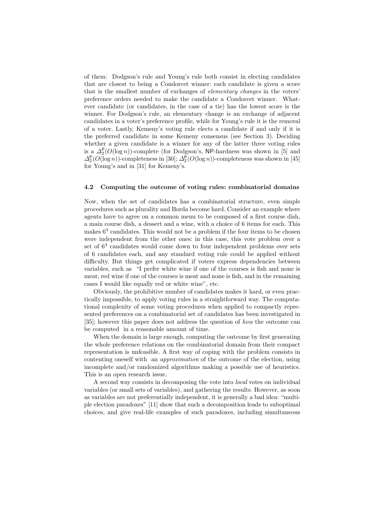of them: Dodgson's rule and Young's rule both consist in electing candidates that are closest to being a Condorcet winner: each candidate is given a score that is the smallest number of exchanges of elementary changes in the voters' preference orders needed to make the candidate a Condorcet winner. Whatever candidate (or candidates, in the case of a tie) has the lowest score is the winner. For Dodgson's rule, an elementary change is an exchange of adjacent candidates in a voter's preference profile, while for Young's rule it is the removal of a voter. Lastly, Kemeny's voting rule elects a candidate if and only if it is the preferred candidate in some Kemeny consensus (see Section 3). Deciding whether a given candidate is a winner for any of the latter three voting rules is a  $\Delta_2^{\mathsf{P}}(O(\log n))$ -complete (for Dodgson's, NP-hardness was shown in [5] and  $\Delta_2^{\mathsf{P}}(O(\log n))$ -completeness in [30];  $\Delta_2^{\mathsf{P}}(O(\log n))$ -completeness was shown in [45] for Young's and in [31] for Kemeny's.

#### 4.2 Computing the outcome of voting rules: combinatorial domains

Now, when the set of candidates has a combinatorial structure, even simple procedures such as plurality and Borda become hard. Consider an example where agents have to agree on a common menu to be composed of a first course dish, a main course dish, a dessert and a wine, with a choice of 6 items for each. This makes  $6<sup>4</sup>$  candidates. This would not be a problem if the four items to be chosen were independent from the other ones: in this case, this vote problem over a set of  $6<sup>4</sup>$  candidates would come down to four independent problems over sets of 6 candidates each, and any standard voting rule could be applied without difficulty. But things get complicated if voters express dependencies between variables, such as "I prefer white wine if one of the courses is fish and none is meat, red wine if one of the courses is meat and none is fish, and in the remaining cases I would like equally red or white wine", etc.

Obviously, the prohibitive number of candidates makes it hard, or even practically impossible, to apply voting rules in a straightforward way. The computational complexity of some voting procedures when applied to compactly represented preferences on a combinatorial set of candidates has been investigated in [35]; however this paper does not address the question of how the outcome can be computed in a reasonable amount of time.

When the domain is large enough, computing the outcome by first generating the whole preference relations on the combinatorial domain from their compact representation is unfeasible. A first way of coping with the problem consists in contenting oneself with an approximation of the outcome of the election, using incomplete and/or randomized algorithms making a possible use of heuristics. This is an open research issue.

A second way consists in decomposing the vote into local votes on individual variables (or small sets of variables), and gathering the results. However, as soon as variables are not preferentially independent, it is generally a bad idea: "multiple election paradoxes" [11] show that such a decomposition leads to suboptimal choices, and give real-life examples of such paradoxes, including simultaneous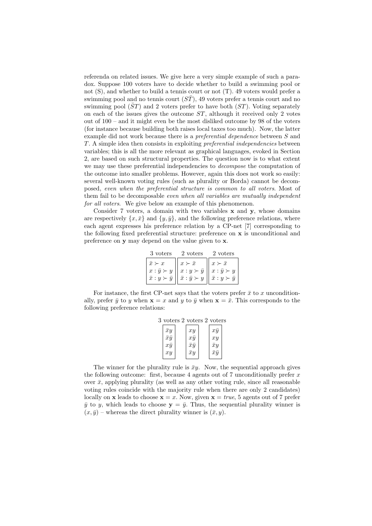referenda on related issues. We give here a very simple example of such a paradox. Suppose 100 voters have to decide whether to build a swimming pool or not (S), and whether to build a tennis court or not (T). 49 voters would prefer a swimming pool and no tennis court  $(S\bar{T})$ , 49 voters prefer a tennis court and no swimming pool  $(ST)$  and 2 voters prefer to have both  $(ST)$ . Voting separately on each of the issues gives the outcome  $ST$ , although it received only 2 votes out of 100 – and it might even be the most disliked outcome by 98 of the voters (for instance because building both raises local taxes too much). Now, the latter example did not work because there is a preferential dependence between S and T. A simple idea then consists in exploiting preferential independencies between variables; this is all the more relevant as graphical languages, evoked in Section 2, are based on such structural properties. The question now is to what extent we may use these preferential independencies to *decompose* the computation of the outcome into smaller problems. However, again this does not work so easily: several well-known voting rules (such as plurality or Borda) cannot be decomposed, even when the preferential structure is common to all voters. Most of them fail to be decomposable even when all variables are mutually independent for all voters. We give below an example of this phenomenon.

Consider 7 voters, a domain with two variables  $x$  and  $y$ , whose domains are respectively  $\{x,\bar{x}\}\$  and  $\{y,\bar{y}\}\$ , and the following preference relations, where each agent expresses his preference relation by a CP-net [7] corresponding to the following fixed preferential structure: preference on x is unconditional and preference on y may depend on the value given to x.

| 3 voters                   | 2 voters                       | 2 voters                       |
|----------------------------|--------------------------------|--------------------------------|
| $\bar{x} \succ x$          | $x \succ \bar{x}$              | $x \succ \bar{x}$              |
| $x:\bar{y}\succ y$         | $x:y\succ \bar{y}$             | $x : \bar{y} \succ y$          |
| $\bar{x}: y \succ \bar{y}$ | $   \bar{x} : \bar{y} \succ y$ | $   \bar{x} : y \succ \bar{y}$ |

For instance, the first CP-net says that the voters prefer  $\bar{x}$  to x unconditionally, prefer  $\bar{y}$  to y when  $\mathbf{x} = x$  and y to  $\bar{y}$  when  $\mathbf{x} = \bar{x}$ . This corresponds to the following preference relations:

|                  | 3 voters 2 voters 2 voters |                  |
|------------------|----------------------------|------------------|
| $\bar{x}y$       | xy                         | $x\bar{y}$       |
| $\bar{x}\bar{y}$ | $x\bar{y}$                 | xy               |
| $x\bar{y}$       | $\bar{x}\bar{y}$           | $\bar{xy}$       |
| xy               | $\bar{x}y$                 | $\bar{x}\bar{y}$ |

The winner for the plurality rule is  $\bar{x}y$ . Now, the sequential approach gives the following outcome: first, because 4 agents out of 7 unconditionally prefer  $x$ over  $\bar{x}$ , applying plurality (as well as any other voting rule, since all reasonable voting rules coincide with the majority rule when there are only 2 candidates) locally on **x** leads to choose  $\mathbf{x} = x$ . Now, given  $\mathbf{x} = true$ , 5 agents out of 7 prefer  $\bar{y}$  to y, which leads to choose  $y = \bar{y}$ . Thus, the sequential plurality winner is  $(x, \bar{y})$  – whereas the direct plurality winner is  $(\bar{x}, y)$ .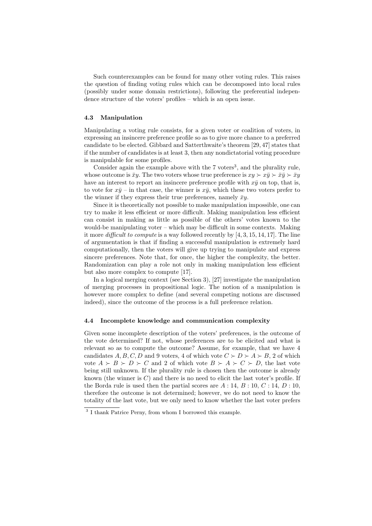Such counterexamples can be found for many other voting rules. This raises the question of finding voting rules which can be decomposed into local rules (possibly under some domain restrictions), following the preferential independence structure of the voters' profiles – which is an open issue.

#### 4.3 Manipulation

Manipulating a voting rule consists, for a given voter or coalition of voters, in expressing an insincere preference profile so as to give more chance to a preferred candidate to be elected. Gibbard and Satterthwaite's theorem [29, 47] states that if the number of candidates is at least 3, then any nondictatorial voting procedure is manipulable for some profiles.

Consider again the example above with the  $7 \text{ voters}^3$ , and the plurality rule, whose outcome is  $\bar{x}y$ . The two voters whose true preference is  $xy \succ x\bar{y} \succ \bar{x}\bar{y} \succ \bar{x}y$ have an interest to report an insincere preference profile with  $x\bar{y}$  on top, that is, to vote for  $x\bar{y}$  – in that case, the winner is  $x\bar{y}$ , which these two voters prefer to the winner if they express their true preferences, namely  $\bar{x}y$ .

Since it is theoretically not possible to make manipulation impossible, one can try to make it less efficient or more difficult. Making manipulation less efficient can consist in making as little as possible of the others' votes known to the would-be manipulating voter – which may be difficult in some contexts. Making it more difficult to compute is a way followed recently by [4, 3, 15, 14, 17]. The line of argumentation is that if finding a successful manipulation is extremely hard computationally, then the voters will give up trying to manipulate and express sincere preferences. Note that, for once, the higher the complexity, the better. Randomization can play a role not only in making manipulation less efficient but also more complex to compute [17].

In a logical merging context (see Section 3), [27] investigate the manipulation of merging processes in propositional logic. The notion of a manipulation is however more complex to define (and several competing notions are discussed indeed), since the outcome of the process is a full preference relation.

#### 4.4 Incomplete knowledge and communication complexity

Given some incomplete description of the voters' preferences, is the outcome of the vote determined? If not, whose preferences are to be elicited and what is relevant so as to compute the outcome? Assume, for example, that we have 4 candidates A, B, C, D and 9 voters, 4 of which vote  $C \succ D \succ A \succ B$ , 2 of which vote  $A \succ B \succ D \succ C$  and 2 of which vote  $B \succ A \succ C \succ D$ , the last vote being still unknown. If the plurality rule is chosen then the outcome is already known (the winner is  $C$ ) and there is no need to elicit the last voter's profile. If the Borda rule is used then the partial scores are  $A: 14, B: 10, C: 14, D: 10$ , therefore the outcome is not determined; however, we do not need to know the totality of the last vote, but we only need to know whether the last voter prefers

<sup>&</sup>lt;sup>3</sup> I thank Patrice Perny, from whom I borrowed this example.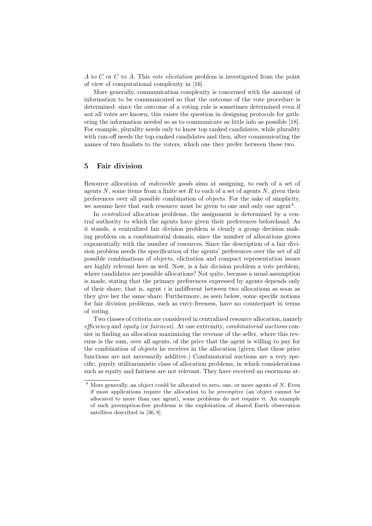A to C or C to A. This vote elicitation problem is investigated from the point of view of computational complexity in [16].

More generally, communication complexity is concerned with the amount of information to be communicated so that the outcome of the vote procedure is determined: since the outcome of a voting rule is sometimes determined even if not all votes are known, this raises the question in designing protocols for gathering the information needed so as to communicate as little info as possible [18]. For example, plurality needs only to know top ranked candidates, while plurality with run-off needs the top-ranked candidates and then, after communicating the names of two finalists to the voters, which one they prefer between these two.

## 5 Fair division

Resource allocation of indivisible goods aims at assigning, to each of a set of agents N, some items from a finite set R to each of a set of agents  $N$ , given their preferences over all possible combination of objects. For the sake of simplicity, we assume here that each resource must be given to one and only one agent<sup>4</sup>.

In *centralized* allocation problems, the assignment is determined by a central authority to which the agents have given their preferences beforehand. As it stands, a centralized fair division problem is clearly a group decision making problem on a combinatorial domain, since the number of allocations grows exponentially with the number of resources. Since the description of a fair division problem needs the specification of the agents' preferences over the set of all possible combinations of objects, elicitation and compact representation issues are highly relevant here as well. Now, is a fair division problem a vote problem, where candidates are possible allocations? Not quite, because a usual assumption is made, stating that the primary preferences expressed by agents depends only of their share, that is, agent  $i$  is indifferent between two allocations as soon as they give her the same share. Furthermore, as seen below, some specific notions for fair division problems, such as envy-freeness, have no counterpart in terms of voting.

Two classes of criteria are considered in centralized resource allocation, namely efficiency and equity (or fairness). At one extremity, combinatorial auctions consist in finding an allocation maximizing the revenue of the seller, where this revenue is the sum, over all agents, of the price that the agent is willing to pay for the combination of objects he receives in the allocation (given that these price functions are not necessarily additive.) Combinatorial auctions are a very specific, purely utilitarianistic class of allocation problems, in which considerations such as equity and fairness are not relevant. They have received an enormous at-

 $4$  More generally, an object could be allocated to zero, one, or more agents of N. Even if most applications require the allocation to be preemptive (an object cannot be allocated to more than one agent), some problems do not require it. An example of such preemption-free problems is the exploitation of shared Earth observation satellites described in [36, 8].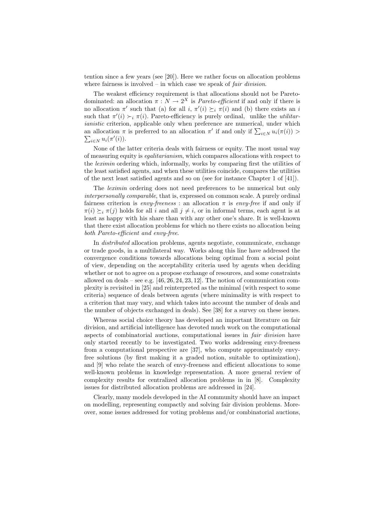tention since a few years (see [20]). Here we rather focus on allocation problems where fairness is involved – in which case we speak of *fair division*.

The weakest efficiency requirement is that allocations should not be Paretodominated: an allocation  $\pi : N \to 2^X$  is *Pareto-efficient* if and only if there is no allocation  $\pi'$  such that (a) for all  $i, \pi'(i) \geq i \pi(i)$  and (b) there exists an i such that  $\pi'(i) \succ_i \pi(i)$ . Pareto-efficiency is purely ordinal, unlike the *utilitar*ianistic criterion, applicable only when preference are numerical, under which an allocation  $\pi$  is preferred to an allocation  $\pi'$  if and only if  $\sum_{i\in N} u_i(\pi(i))$  $\sum_{i\in N} u_i(\pi'(i)).$ 

None of the latter criteria deals with fairness or equity. The most usual way of measuring equity is *egalitarianism*, which compares allocations with respect to the *leximin* ordering which, informally, works by comparing first the utilities of the least satisfied agents, and when these utilities coincide, compares the utilities of the next least satisfied agents and so on (see for instance Chapter 1 of [41]).

The leximin ordering does not need preferences to be numerical but only interpersonally comparable, that is, expressed on common scale. A purely ordinal fairness criterion is envy-freeness : an allocation  $\pi$  is envy-free if and only if  $\pi(i) \succeq_i \pi(j)$  holds for all i and all  $j \neq i$ , or in informal terms, each agent is at least as happy with his share than with any other one's share. It is well-known that there exist allocation problems for which no there exists no allocation being both Pareto-efficient and envy-free.

In distributed allocation problems, agents negotiate, communicate, exchange or trade goods, in a multilateral way. Works along this line have addressed the convergence conditions towards allocations being optimal from a social point of view, depending on the acceptability criteria used by agents when deciding whether or not to agree on a propose exchange of resources, and some constraints allowed on deals – see e.g.  $[46, 26, 24, 23, 12]$ . The notion of communication complexity is revisited in [25] and reinterpreted as the minimal (with respect to some criteria) sequence of deals between agents (where minimality is with respect to a criterion that may vary, and which takes into account the number of deals and the number of objects exchanged in deals). See [38] for a survey on these issues.

Whereas social choice theory has developed an important literature on fair division, and artificial intelligence has devoted much work on the computational aspects of combinatorial auctions, computational issues in fair division have only started recently to be investigated. Two works addressing envy-freeness from a computational prespective are [37], who compute approximately envyfree solutions (by first making it a graded notion, suitable to optimization), and [9] who relate the search of envy-freeness and efficient allocations to some well-known problems in knowledge representation. A more general review of complexity results for centralized allocation problems in in [8]. Complexity issues for distributed allocation problems are addressed in [24].

Clearly, many models developed in the AI community should have an impact on modelling, representing compactly and solving fair division problems. Moreover, some issues addressed for voting problems and/or combinatorial auctions,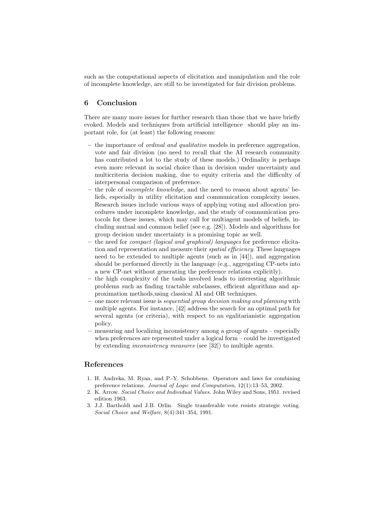such as the computational aspects of elicitation and manipulation and the role of incomplete knowledge, are still to be investigated for fair division problems.

# 6 Conclusion

There are many more issues for further research than those that we have briefly evoked. Models and techniques from artificial intelligence should play an important role, for (at least) the following reasons:

- the importance of ordinal and qualitative models in preference aggregation, vote and fair division (no need to recall that the AI research community has contributed a lot to the study of these models.) Ordinality is perhaps even more relevant in social choice than in decision under uncertainty and multicriteria decision making, due to equity criteria and the difficulty of interpersonal comparison of preference.
- the role of *incomplete knowledge*, and the need to reason about agents' beliefs, especially in utility elicitation and communication complexity issues. Research issues include various ways of applying voting and allocation procedures under incomplete knowledge, and the study of communication protocols for these issues, which may call for multiagent models of beliefs, including mutual and common belief (see e.g. [28]). Models and algorithms for group decision under uncertainty is a promising topic as well.
- the need for compact (logical and graphical) languages for preference elicitation and representation and measure their *spatial efficiency*. These languages need to be extended to multiple agents (such as in [44]), and aggregation should be performed directly in the language (e.g., aggregating CP-nets into a new CP-net without generating the preference relations explicitly).
- the high complexity of the tasks involved leads to interesting algorithmic problems such as finding tractable subclasses, efficient algorithms and approximation methods,using classical AI and OR techniques.
- one more relevant issue is sequential group decision making and planning with multiple agents. For instance, [42] address the search for an optimal path for several agents (or criteria), with respect to an egalitarianistic aggregation policy.
- measuring and localizing inconsistency among a group of agents especially when preferences are represented under a logical form – could be investigated by extending inconsistency measures (see [32]) to multiple agents.

## References

- 1. H. Andreka, M. Ryan, and P.-Y. Schobbens. Operators and laws for combining preference relations. Journal of Logic and Computation, 12(1):13–53, 2002.
- 2. K. Arrow. Social Choice and Individual Values. John Wiley and Sons, 1951. revised edition 1963.
- 3. J.J. Bartholdi and J.B. Orlin. Single transferable vote resists strategic voting. Social Choice and Welfare, 8(4):341–354, 1991.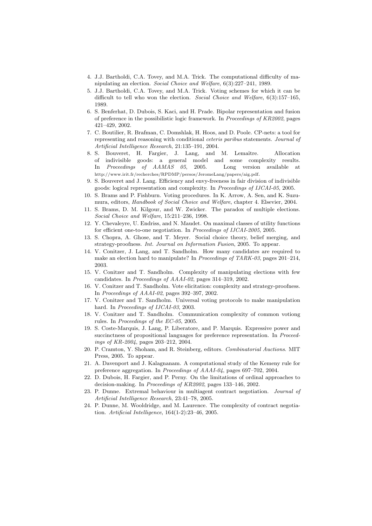- 4. J.J. Bartholdi, C.A. Tovey, and M.A. Trick. The computational difficulty of manipulating an election. Social Choice and Welfare, 6(3):227–241, 1989.
- 5. J.J. Bartholdi, C.A. Tovey, and M.A. Trick. Voting schemes for which it can be difficult to tell who won the election. Social Choice and Welfare, 6(3):157–165, 1989.
- 6. S. Benferhat, D. Dubois, S. Kaci, and H. Prade. Bipolar representation and fusion of preference in the possibilistic logic framework. In Proceedings of KR2002, pages 421–429, 2002.
- 7. C. Boutilier, R. Brafman, C. Domshlak, H. Hoos, and D. Poole. CP-nets: a tool for representing and reasoning with conditional ceteris paribus statements. Journal of Artificial Intelligence Research, 21:135–191, 2004.
- 8. S. Bouveret, H. Fargier, J. Lang, and M. Lemaître. Allocation of indivisible goods: a general model and some complexity results. In Proceedings of AAMAS 05, 2005. Long version available at http://www.irit.fr/recherches/RPDMP/persos/JeromeLang/papers/aig.pdf.
- 9. S. Bouveret and J. Lang. Efficiency and envy-freeness in fair division of indivisible goods: logical representation and complexity. In Proceedings of IJCAI-05, 2005.
- 10. S. Brams and P. Fishburn. Voting procedures. In K. Arrow, A. Sen, and K. Suzumura, editors, Handbook of Social Choice and Welfare, chapter 4. Elsevier, 2004.
- 11. S. Brams, D. M. Kilgour, and W. Zwicker. The paradox of multiple elections. Social Choice and Welfare, 15:211–236, 1998.
- 12. Y. Chevaleyre, U. Endriss, and N. Maudet. On maximal classes of utility functions for efficient one-to-one negotiation. In Proceedings of IJCAI-2005, 2005.
- 13. S. Chopra, A. Ghose, and T. Meyer. Social choice theory, belief merging, and strategy-proofness. Int. Journal on Information Fusion, 2005. To appear.
- 14. V. Conitzer, J. Lang, and T. Sandholm. How many candidates are required to make an election hard to manipulate? In Proceedings of TARK-03, pages 201–214, 2003.
- 15. V. Conitzer and T. Sandholm. Complexity of manipulating elections with few candidates. In Proceedings of AAAI-02, pages 314–319, 2002.
- 16. V. Conitzer and T. Sandholm. Vote elicitation: complexity and strategy-proofness. In Proceedings of AAAI-02, pages 392–397, 2002.
- 17. V. Conitzer and T. Sandholm. Universal voting protocols to make manipulation hard. In Proceedings of IJCAI-03, 2003.
- 18. V. Conitzer and T. Sandholm. Communication complexity of common votiong rules. In Proceedings of the EC-05, 2005.
- 19. S. Coste-Marquis, J. Lang, P. Liberatore, and P. Marquis. Expressive power and succinctness of propositional languages for preference representation. In Proceedings of KR-2004, pages 203–212, 2004.
- 20. P. Cramton, Y. Shoham, and R. Steinberg, editors. Combinatorial Auctions. MIT Press, 2005. To appear.
- 21. A. Davenport and J. Kalagnanam. A computational study of the Kemeny rule for preference aggregation. In Proceedings of AAAI-04, pages 697–702, 2004.
- 22. D. Dubois, H. Fargier, and P. Perny. On the limitations of ordinal approaches to decision-making. In Proceedings of KR2002, pages 133–146, 2002.
- 23. P. Dunne. Extremal behaviour in multiagent contract negotiation. Journal of Artificial Intelligence Research, 23:41–78, 2005.
- 24. P. Dunne, M. Wooldridge, and M. Laurence. The complexity of contract negotiation. Artificial Intelligence, 164(1-2):23–46, 2005.